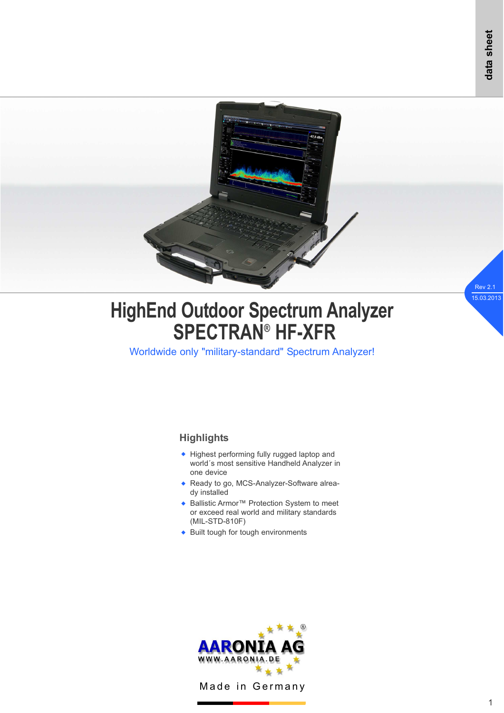

# **HighEnd Outdoor Spectrum Analyzer SPECTRAN® HF-XFR**

Worldwide only "military-standard" Spectrum Analyzer!

### **Highlights**

- Highest performing fully rugged laptop and world´s most sensitive Handheld Analyzer in one device
- Ready to go, MCS-Analyzer-Software already installed
- ◆ Ballistic Armor<sup>™</sup> Protection System to meet or exceed real world and military standards (MIL-STD-810F)
- Built tough for tough environments



Made in Germany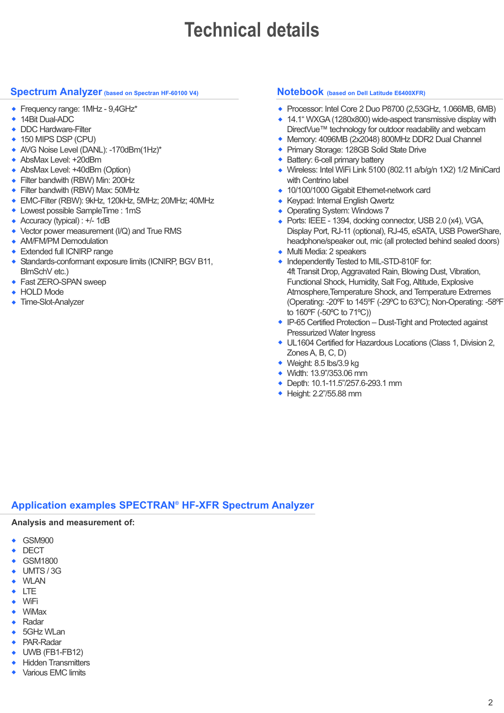# **Technical details**

#### **Spectrum Analyzer(based on Spectran HF-60100 V4)**

- Frequency range: 1MHz 9,4GHz\*
- ◆ 14Bit Dual-ADC
- DDC Hardware-Filter
- ◆ 150 MIPS DSP (CPU)
- AVG Noise Level (DANL): -170dBm(1Hz)\*
- ◆ AbsMax Level: +20dBm
- AbsMax Level: +40dBm (Option)
- Filter bandwith (RBW) Min: 200Hz
- Filter bandwith (RBW) Max: 50MHz
- EMC-Filter (RBW): 9kHz, 120kHz, 5MHz; 20MHz; 40MHz
- Lowest possible SampleTime : 1mS
- ◆ Accuracy (typical) : +/- 1dB
- ◆ Vector power measurement (I/Q) and True RMS
- AM/FM/PM Demodulation
- Extended full ICNIRP range
- ◆ Standards-conformant exposure limits (ICNIRP, BGV B11, BlmSchV etc.)
- Fast ZERO-SPAN sweep
- HOLD Mode
- Time-Slot-Analyzer

#### **Notebook (based on Dell Latitude E6400XFR)**

- ◆ Processor: Intel Core 2 Duo P8700 (2,53GHz, 1.066MB, 6MB)
- ◆ 14.1" WXGA (1280x800) wide-aspect transmissive display with DirectVue™ technology for outdoor readability and webcam
- Memory: 4096MB (2x2048) 800MHz DDR2 Dual Channel w
- Primary Storage: 128GB Solid State Drive
- ◆ Battery: 6-cell primary battery
- ◆ Wireless: Intel WiFi Link 5100 (802.11 a/b/g/n 1X2) 1/2 MiniCard with Centrino label
- ◆ 10/100/1000 Gigabit Ethernet-network card
- Keypad: Internal English Qwertz
- Operating System: Windows 7
- ◆ Ports: IEEE 1394, docking connector, USB 2.0 (x4), VGA, Display Port, RJ-11 (optional), RJ-45, eSATA, USB PowerShare, headphone/speaker out, mic (all protected behind sealed doors)
- ◆ Multi Media: 2 speakers
- Independently Tested to MIL-STD-810F for: 4ft Transit Drop, Aggravated Rain, Blowing Dust, Vibration, Functional Shock, Humidity, Salt Fog, Altitude, Explosive Atmosphere,Temperature Shock, and Temperature Extremes (Operating: -20ºF to 145ºF (-29ºC to 63ºC); Non-Operating: -58ºF to 160ºF (-50ºC to 71ºC))
- IP-65 Certified Protection Dust-Tight and Protected against Pressurized Water Ingress
- UL1604 Certified for Hazardous Locations (Class 1, Division 2, Zones A, B, C, D)
- $\blacklozenge$  Weight: 8.5 lbs/3.9 kg
- ◆ Width: 13.9"/353.06 mm
- Depth: 10.1-11.5"/257.6-293.1 mm
- ◆ Height: 2.2"/55.88 mm

### **Application examples SPECTRAN® HF-XFR Spectrum Analyzer**

#### **Analysis and measurement of:**

- GSM900
- DECT  $\ddot{\bullet}$
- GSM1800  $\ddot{\bullet}$
- UMTS / 3G  $\ddot{\bullet}$
- WLAN
- $\bullet$  LTE
- $\bullet$  WiFi
- WiMax
- Radar
- ◆ 5GHz WLan
- PAR-Radar
- $\bullet$  UWB (FB1-FB12)
- Hidden Transmitters
- Various EMC limits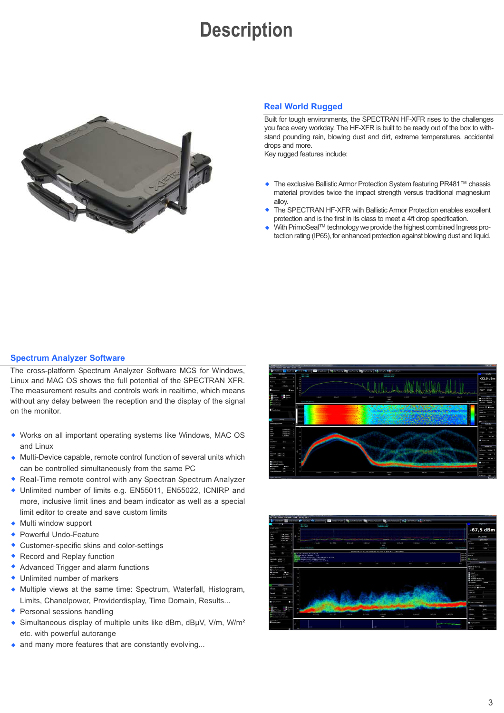# **Description**



#### **Real World Rugged**

Built for tough environments, the SPECTRAN HF-XFR rises to the challenges you face every workday. The HF-XFR is built to be ready out of the box to withstand pounding rain, blowing dust and dirt, extreme temperatures, accidental drops and more.

Key rugged features include:

- The exclusive Ballistic Armor Protection System featuring PR481™ chassis material provides twice the impact strength versus traditional magnesium alloy.  $\ddot{\bullet}$
- The SPECTRAN HF-XFR with Ballistic Armor Protection enables excellent protection and is the first in its class to meet a 4ft drop specification.  $\ddot{\bullet}$
- With PrimoSeal™ technology we provide the highest combined Ingress protection rating (IP65), for enhanced protection against blowing dust and liquid.  $\ddot{\bullet}$

#### **Spectrum Analyzer Software**

The cross-platform Spectrum Analyzer Software MCS for Windows, Linux and MAC OS shows the full potential of the SPECTRAN XFR. The measurement results and controls work in realtime, which means without any delay between the reception and the display of the signal on the monitor.

- Works on all important operating systems like Windows, MAC OS w and Linux
- ◆ Multi-Device capable, remote control function of several units which can be controlled simultaneously from the same PC
- Real-Time remote control with any Spectran Spectrum Analyzer
- Unlimited number of limits e.g. EN55011, EN55022, ICNIRP and w more, inclusive limit lines and beam indicator as well as a special limit editor to create and save custom limits
- Multi window support w
- Powerful Undo-Feature  $\ddot{\bullet}$
- Customer-specific skins and color-settings  $\bullet$
- Record and Replay function  $\bullet$
- Advanced Trigger and alarm functions  $\bullet$
- Unlimited number of markers
- Multiple views at the same time: Spectrum, Waterfall, Histogram, Limits, Chanelpower, Providerdisplay, Time Domain, Results...  $\ddot{\bullet}$
- Personal sessions handling
- ◆ Simultaneous display of multiple units like dBm, dBµV, V/m, W/m<sup>2</sup> etc. with powerful autorange
- and many more features that are constantly evolving...



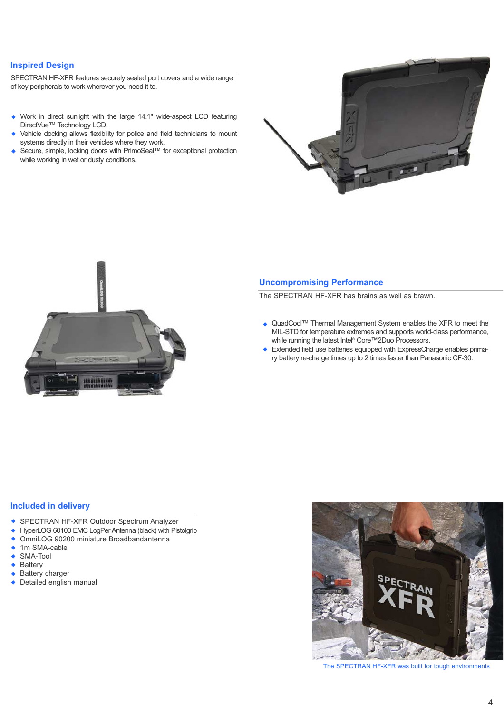#### **Inspired Design**

SPECTRAN HF-XFR features securely sealed port covers and a wide range of key peripherals to work wherever you need it to.

- Work in direct sunlight with the large 14.1" wide-aspect LCD featuring DirectVue™ Technology LCD.
- Vehicle docking allows flexibility for police and field technicians to mount w systems directly in their vehicles where they work.
- ◆ Secure, simple, locking doors with PrimoSeal™ for exceptional protection while working in wet or dusty conditions.





#### **Uncompromising Performance**

The SPECTRAN HF-XFR has brains as well as brawn.

- ◆ QuadCool™ Thermal Management System enables the XFR to meet the MIL-STD for temperature extremes and supports world-class performance, while running the latest Intel® Core™2Duo Processors.
- ◆ Extended field use batteries equipped with ExpressCharge enables primary battery re-charge times up to 2 times faster than Panasonic CF-30.

#### **Included in delivery**

- SPECTRAN HF-XFR Outdoor Spectrum Analyzer
- ◆ HyperLOG 60100 EMC LogPer Antenna (black) with Pistolgrip
- OmniLOG 90200 miniature Broadbandantenna  $\ddot{\bullet}$
- 1m SMA-cable w
- SMA-Tool  $\ddot{\bullet}$
- Battery  $\ddot{\bullet}$
- ◆ Battery charger
- ◆ Detailed english manual



The SPECTRAN HF-XFR was built for tough environments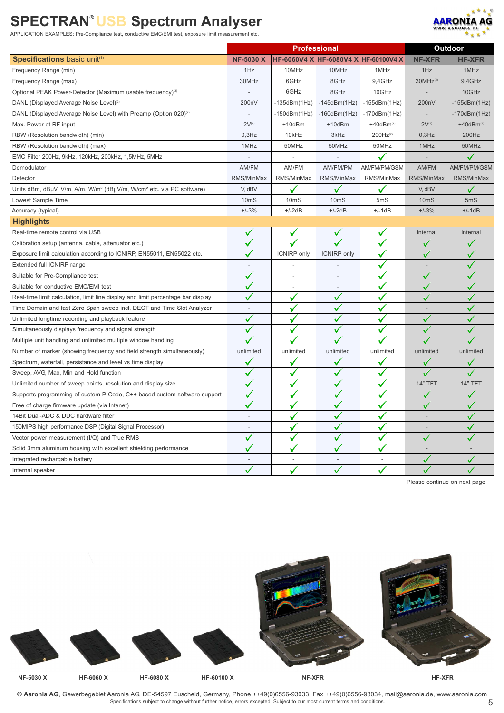# **SPECTRAN**® **USB Spectrum Analyser**

APPLICATION EXAMPLES: Pre-Compliance test, conductive EMC/EMI test, exposure limit measurement etc.



|                                                                                              |                          | <b>Professional</b> | <b>Outdoor</b>           |                                      |                          |                    |
|----------------------------------------------------------------------------------------------|--------------------------|---------------------|--------------------------|--------------------------------------|--------------------------|--------------------|
| <b>Specifications</b> basic unit <sup>(1)</sup>                                              | <b>NF-5030 X</b>         |                     |                          | HF-6060V4 X HF-6080V4 X HF-60100V4 X | <b>NF-XFR</b>            | HF-XFR             |
| Frequency Range (min)                                                                        | 1Hz                      | 10MHz               | 10MHz                    | 1MHz                                 | 1Hz                      | 1MHz               |
| Frequency Range (max)                                                                        | 30MHz                    | 6GHz                | 8GHz                     | 9,4GHz                               | 30MHz <sup>(2)</sup>     | 9,4GHz             |
| Optional PEAK Power-Detector (Maximum usable frequency) <sup>(3)</sup>                       | $\overline{a}$           | 6GHz                | 8GHz                     | 10GHz                                |                          | 10GHz              |
| DANL (Displayed Average Noise Level) <sup>(2)</sup>                                          | 200nV                    | $-135dBm(1Hz)$      | $-145dBm(1Hz)$           | $-155$ d $Bm(1Hz)$                   | 200nV                    | $-155$ d $Bm(1Hz)$ |
| DANL (Displayed Average Noise Level) with Preamp (Option 020) <sup>(2)</sup>                 |                          | $-150$ d $Bm(1Hz)$  | $-160$ d $Bm(1Hz)$       | $-170$ d $Bm(1Hz)$                   |                          | $-170$ d $Bm(1Hz)$ |
| Max. Power at RF input                                                                       | $2V^{(2)}$               | $+10$ d $Bm$        | $+10$ d $Bm$             | $+40$ d $Bm^{(2)}$                   | $2V^{(2)}$               | +40dBm $^{(2)}$    |
| RBW (Resolution bandwidth) (min)                                                             | $0,3$ Hz                 | 10kHz               | 3kHz                     | $200Hz^{(2)}$                        | $0,3$ Hz                 | 200Hz              |
| RBW (Resolution bandwidth) (max)                                                             | 1MHz                     | 50MHz               | 50MHz                    | 50MHz                                | 1MHz                     | 50MHz              |
| EMC Filter 200Hz, 9kHz, 120kHz, 200kHz, 1,5MHz, 5MHz                                         | $\overline{a}$           |                     | $\overline{\phantom{a}}$ | ✔                                    | $\overline{\phantom{a}}$ |                    |
| Demodulator                                                                                  | AM/FM                    | AM/FM               | AM/FM/PM                 | AM/FM/PM/GSM                         | AM/FM                    | AM/FM/PM/GSM       |
| Detector                                                                                     | RMS/MinMax               | RMS/MinMax          | RMS/MinMax               | RMS/MinMax                           | RMS/MinMax               | RMS/MinMax         |
| Units dBm, dBµV, V/m, A/m, W/m <sup>2</sup> (dBµV/m, W/cm <sup>2</sup> etc. via PC software) | V, dBV                   |                     |                          |                                      | V, dBV                   | ✓                  |
| Lowest Sample Time                                                                           | 10 <sub>m</sub> S        | $10m$ S             | 10 <sub>m</sub> S        | 5 <sub>m</sub> S                     | $10m$ S                  | 5 <sub>m</sub> S   |
| Accuracy (typical)                                                                           | $+/-3%$                  | $+/-2dB$            | $+/-2dB$                 | $+/-1dB$                             | $+/-3%$                  | $+/-1dB$           |
| <b>Highlights</b>                                                                            |                          |                     |                          |                                      |                          |                    |
| Real-time remote control via USB                                                             | ✓                        | ✓                   | ✓                        | ✓                                    | internal                 | internal           |
| Calibration setup (antenna, cable, attenuator etc.)                                          | $\checkmark$             |                     | ✓                        | ✔                                    |                          |                    |
| Exposure limit calculation according to ICNIRP, EN55011, EN55022 etc.                        |                          | <b>ICNIRP</b> only  | <b>ICNIRP only</b>       | v                                    | ✓                        |                    |
| Extended full ICNIRP range                                                                   | ÷                        |                     |                          |                                      |                          |                    |
| Suitable for Pre-Compliance test                                                             |                          |                     | L,                       |                                      |                          |                    |
| Suitable for conductive EMC/EMI test                                                         | ✓                        | ÷.                  | ÷                        |                                      |                          |                    |
| Real-time limit calculation, limit line display and limit percentage bar display             |                          | ✓                   | $\checkmark$             |                                      |                          |                    |
| Time Domain and fast Zero Span sweep incl. DECT and Time Slot Analyzer                       |                          |                     | ✓                        |                                      |                          |                    |
| Unlimited longtime recording and playback feature                                            | ✓                        | ✓                   | $\checkmark$             | v                                    | ✓                        |                    |
| Simultaneously displays frequency and signal strength                                        | ✔                        | V                   | v                        |                                      | ✓                        |                    |
| Multiple unit handling and unlimited multiple window handling                                |                          |                     |                          |                                      | ✓                        |                    |
| Number of marker (showing frequency and field strength simultaneously)                       | unlimited                | unlimited           | unlimited                | unlimited                            | unlimited                | unlimited          |
| Spectrum, waterfall, persistance and level vs time display                                   | ✓                        | ✔                   | ✓                        | ✓                                    | ✓                        | ✓                  |
| Sweep, AVG, Max, Min and Hold function                                                       | ✓                        |                     | $\checkmark$             |                                      | ✓                        |                    |
| Unlimited number of sweep points, resolution and display size                                | $\checkmark$             |                     |                          |                                      | <b>14" TFT</b>           | <b>14" TFT</b>     |
| Supports programming of custom P-Code, C++ based custom software support                     | $\checkmark$             | ✓                   | ✓                        | √                                    | ✓                        |                    |
| Free of charge firmware update (via Intenet)                                                 | ✓                        | ✔                   | $\checkmark$             | v                                    | ✓                        |                    |
| 14Bit Dual-ADC & DDC hardware filter                                                         | $\overline{\phantom{a}}$ | ✔                   | V                        | v                                    |                          |                    |
| 150MIPS high performance DSP (Digital Signal Processor)                                      |                          |                     |                          |                                      |                          |                    |
| Vector power measurement (I/Q) and True RMS                                                  | ✓                        |                     |                          |                                      | ✓                        |                    |
| Solid 3mm aluminum housing with excellent shielding performance                              |                          |                     |                          |                                      |                          |                    |
| Integrated rechargable battery                                                               |                          |                     |                          |                                      | ✓                        |                    |
| Internal speaker                                                                             |                          |                     |                          |                                      |                          |                    |

Please continue on next page



Specifications subject to change without further notice, errors excepted. Subject to our most current terms and conditions. © **Aaronia AG**, Gewerbegebiet Aaronia AG, DE-54597 Euscheid, Germany, Phone ++49(0)6556-93033, Fax ++49(0)6556-93034, mail@aaronia.de, www.aaronia.com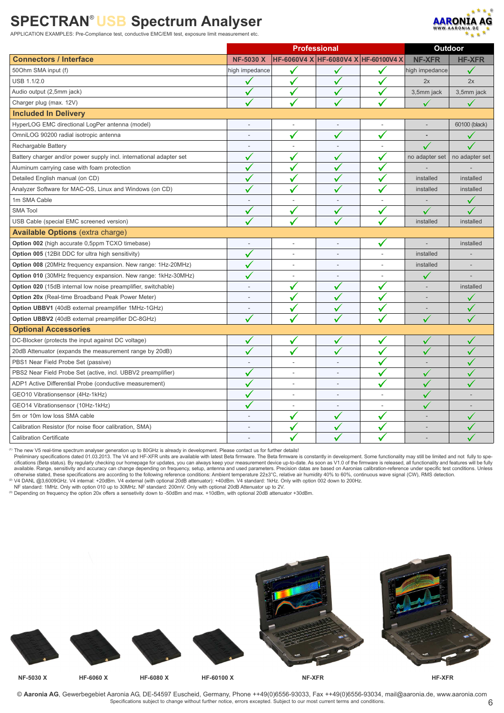# **SPECTRAN**® **USB Spectrum Analyser**

APPLICATION EXAMPLES: Pre-Compliance test, conductive EMC/EMI test, exposure limit measurement etc.



|                                                                     |                  | <b>Outdoor</b>           |                          |                                      |                |                |
|---------------------------------------------------------------------|------------------|--------------------------|--------------------------|--------------------------------------|----------------|----------------|
| <b>Connectors / Interface</b>                                       | <b>NF-5030 X</b> |                          |                          | HF-6060V4 X HF-6080V4 X HF-60100V4 X | <b>NF-XFR</b>  | <b>HF-XFR</b>  |
| 500hm SMA input (f)                                                 | high impedance   |                          | ✓                        | ✓                                    | high impedance |                |
| USB 1.1/2.0                                                         | ✓                |                          |                          |                                      | 2x             | 2x             |
| Audio output (2,5mm jack)                                           |                  |                          |                          |                                      | 3,5mm jack     | 3,5mm jack     |
| Charger plug (max. 12V)                                             |                  |                          |                          |                                      | ✓              |                |
| <b>Included In Delivery</b>                                         |                  |                          |                          |                                      |                |                |
| HyperLOG EMC directional LogPer antenna (model)                     |                  | $\overline{\phantom{a}}$ | $\overline{a}$           |                                      |                | 60100 (black)  |
| OmniLOG 90200 radial isotropic antenna                              | ÷,               |                          |                          |                                      |                |                |
| Rechargable Battery                                                 | ÷,               |                          |                          | $\overline{\phantom{a}}$             | ✓              |                |
| Battery charger and/or power supply incl. international adapter set | ✓                | v                        | ٧                        | V                                    | no adapter set | no adapter set |
| Aluminum carrying case with foam protection                         | ✔                | v                        | v                        |                                      |                |                |
| Detailed English manual (on CD)                                     |                  | v                        | v                        |                                      | installed      | installed      |
| Analyzer Software for MAC-OS, Linux and Windows (on CD)             |                  |                          |                          |                                      | installed      | installed      |
| 1m SMA Cable                                                        | $\overline{a}$   | $\overline{\phantom{a}}$ |                          | ÷,                                   |                | ✓              |
| <b>SMA Tool</b>                                                     | ✔                | v                        | ✔                        | ✔                                    | ✓              | ✓              |
| USB Cable (special EMC screened version)                            |                  |                          |                          |                                      | installed      | installed      |
| <b>Available Options (extra charge)</b>                             |                  |                          |                          |                                      |                |                |
| Option 002 (high accurate 0,5ppm TCXO timebase)                     | $\overline{a}$   | ÷                        | $\sim$                   |                                      | $\sim$         | installed      |
| Option 005 (12Bit DDC for ultra high sensitivity)                   | ✓                | $\overline{\phantom{a}}$ | ÷,                       | ÷,                                   | installed      |                |
| Option 008 (20MHz frequency expansion. New range: 1Hz-20MHz)        | ✓                | L.                       | $\sim$                   |                                      | installed      |                |
| Option 010 (30MHz frequency expansion. New range: 1kHz-30MHz)       | ✓                |                          |                          |                                      |                |                |
| Option 020 (15dB internal low noise preamplifier, switchable)       | $\overline{a}$   | √                        | ✓                        |                                      |                | installed      |
| Option 20x (Real-time Broadband Peak Power Meter)                   | L,               | V                        | ✓                        |                                      |                |                |
| Option UBBV1 (40dB external preamplifier 1MHz-1GHz)                 |                  |                          |                          |                                      |                |                |
| Option UBBV2 (40dB external preamplifier DC-8GHz)                   |                  |                          |                          |                                      |                |                |
| <b>Optional Accessories</b>                                         |                  |                          |                          |                                      |                |                |
| DC-Blocker (protects the input against DC voltage)                  | $\checkmark$     | $\checkmark$             | ✓                        | ✔                                    | $\checkmark$   |                |
| 20dB Attenuator (expands the measurement range by 20dB)             | $\checkmark$     | v                        |                          | √                                    | $\checkmark$   |                |
| PBS1 Near Field Probe Set (passive)                                 |                  |                          |                          |                                      |                |                |
| PBS2 Near Field Probe Set (active, incl. UBBV2 preamplifier)        | $\checkmark$     |                          |                          |                                      | ✓              |                |
| ADP1 Active Differential Probe (conductive measurement)             | $\checkmark$     |                          | $\sim$                   |                                      | ✓              |                |
| GEO10 Vibrationsensor (4Hz-1kHz)                                    | ✓                | L.                       | $\overline{\phantom{a}}$ | L,                                   | ✓              |                |
| GEO14 Vibrationsensor (10Hz-1kHz)                                   |                  | $\overline{\phantom{a}}$ | ÷                        | ÷,                                   |                |                |
| 5m or 10m low loss SMA cable                                        | $\overline{a}$   |                          | ✓                        | $\checkmark$                         |                |                |
| Calibration Resistor (for noise floor calibration, SMA)             | ÷                |                          | ✓                        |                                      |                |                |
| <b>Calibration Certificate</b>                                      |                  |                          |                          |                                      |                |                |

<sup>(1)</sup> The new V5 real-time spectrum analyser generation up to 80GHz is already in development. Please contact us for further details!

Preliminary specifications dated 01.03.2013. The V4 and HF-XFR units are available with latest Beta firmware. The Beta firmware is constantly in development. Some functionality may still be limited and not fully to specifications (Beta status). By regularly checking our homepage for updates, you can always keep your measurement device up-to-date. As soon as V1.0 of the firmware is released, all functionality and features will be fully a

NF standard: 1MHz. Only with option 010 up to 30MHz. NF standard: 200mV. Only with optional 20dB Attenuator up to 2V.<br>◎ Depending on frequency the option 20x offers a sensetivity down to -50dBm and max. +10dBm, with optio



Specifications subject to change without further notice, errors excepted. Subject to our most current terms and conditions. © **Aaronia AG**, Gewerbegebiet Aaronia AG, DE-54597 Euscheid, Germany, Phone ++49(0)6556-93033, Fax ++49(0)6556-93034, mail@aaronia.de, www.aaronia.com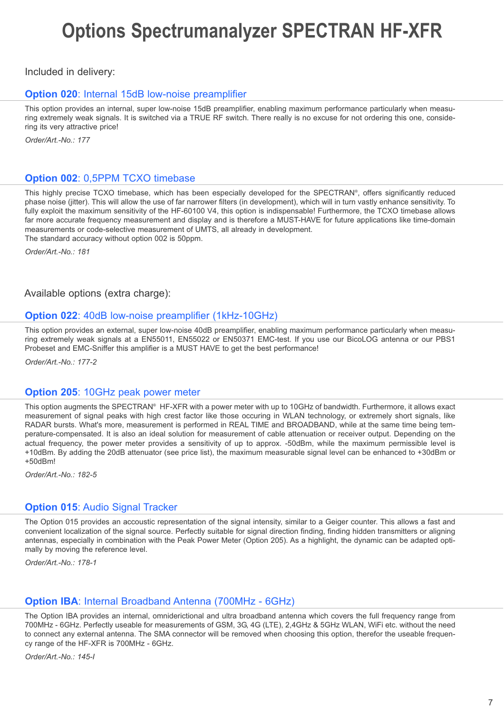# **Options Spectrumanalyzer SPECTRAN HF-XFR**

### Included in delivery:

#### **Option 020: Internal 15dB low-noise preamplifier**

This option provides an internal, super low-noise 15dB preamplifier, enabling maximum performance particularly when measuring extremely weak signals. It is switched via a TRUE RF switch. There really is no excuse for not ordering this one, considering its very attractive price!

*Order/Art.-No.: 177*

#### **Option 002**: 0,5PPM TCXO timebase

This highly precise TCXO timebase, which has been especially developed for the SPECTRAN® , offers significantly reduced phase noise (jitter). This will allow the use of far narrower filters (in development), which will in turn vastly enhance sensitivity. To fully exploit the maximum sensitivity of the HF-60100 V4, this option is indispensable! Furthermore, the TCXO timebase allows far more accurate frequency measurement and display and is therefore a MUST-HAVE for future applications like time-domain measurements or code-selective measurement of UMTS, all already in development. The standard accuracy without option 002 is 50ppm.

*Order/Art.-No.: 181*

#### Available options (extra charge):

#### **Option 022**: 40dB low-noise preamplifier (1kHz-10GHz)

This option provides an external, super low-noise 40dB preamplifier, enabling maximum performance particularly when measuring extremely weak signals at a EN55011, EN55022 or EN50371 EMC-test. If you use our BicoLOG antenna or our PBS1 Probeset and EMC-Sniffer this amplifier is a MUST HAVE to get the best performance!

*Order/Art.-No.: 177-2*

#### **Option 205**: 10GHz peak power meter

This option augments the SPECTRAN® HF-XFR with a power meter with up to 10GHz of bandwidth. Furthermore, it allows exact measurement of signal peaks with high crest factor like those occuring in WLAN technology, or extremely short signals, like RADAR bursts. What's more, measurement is performed in REAL TIME and BROADBAND, while at the same time being temperature-compensated. It is also an ideal solution for measurement of cable attenuation or receiver output. Depending on the actual frequency, the power meter provides a sensitivity of up to approx. -50dBm, while the maximum permissible level is +10dBm. By adding the 20dB attenuator (see price list), the maximum measurable signal level can be enhanced to +30dBm or +50dBm!

*Order/Art.-No.: 182-5*

### **Option 015: Audio Signal Tracker**

The Option 015 provides an accoustic representation of the signal intensity, similar to a Geiger counter. This allows a fast and convenient localization of the signal source. Perfectly suitable for signal direction finding, finding hidden transmitters or aligning antennas, especially in combination with the Peak Power Meter (Option 205). As a highlight, the dynamic can be adapted optimally by moving the reference level.

*Order/Art.-No.: 178-1*

### **Option IBA**: Internal Broadband Antenna (700MHz - 6GHz)

The Option IBA provides an internal, omniderictional and ultra broadband antenna which covers the full frequency range from 700MHz - 6GHz. Perfectly useable for measurements of GSM, 3G, 4G (LTE), 2,4GHz & 5GHz WLAN, WiFi etc. without the need to connect any external antenna. The SMA connector will be removed when choosing this option, therefor the useable frequency range of the HF-XFR is 700MHz - 6GHz.

*Order/Art.-No.: 145-I*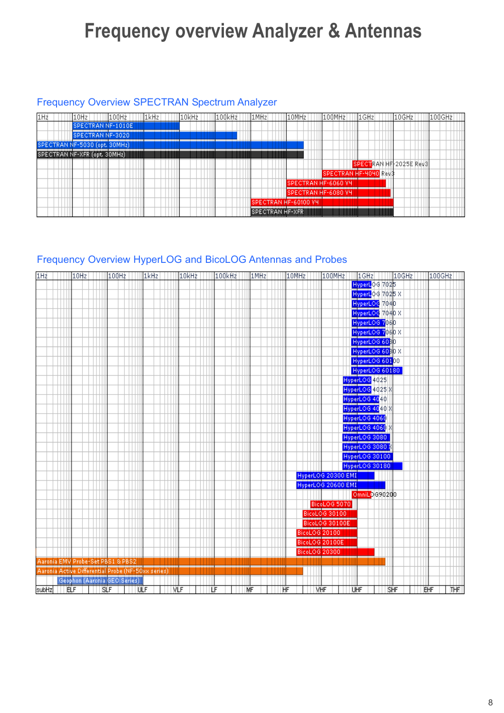# **Frequency overview Analyzer & Antennas**

### Frequency Overview SPECTRAN Spectrum Analyzer



## Frequency Overview HyperLOG and BicoLOG Antennas and Probes

| 1H <sub>2</sub> | 10Hz                                               | 100Hz | 1kHz       | 10kHz | 100kHz | 1MHz | 10MHz | 100MHz               | 1GHz                                          | 10GHz | 100GHz     |
|-----------------|----------------------------------------------------|-------|------------|-------|--------|------|-------|----------------------|-----------------------------------------------|-------|------------|
|                 |                                                    |       |            |       |        |      |       |                      | HyperLOG 7025                                 |       |            |
|                 |                                                    |       |            |       |        |      |       |                      | HyperLOG 7025 X                               |       |            |
|                 |                                                    |       |            |       |        |      |       |                      | HyperLOG 7040                                 |       |            |
|                 |                                                    |       |            |       |        |      |       |                      | HyperLOG 7040 X                               |       |            |
|                 |                                                    |       |            |       |        |      |       |                      | HyperLOG 7080                                 |       |            |
|                 |                                                    |       |            |       |        |      |       |                      | HyperLOG 7060 X                               |       |            |
|                 |                                                    |       |            |       |        |      |       |                      | HyperLOG 6030                                 |       |            |
|                 |                                                    |       |            |       |        |      |       |                      | HyperLOG 6030 X                               |       |            |
|                 |                                                    |       |            |       |        |      |       |                      | HyperLOG 60100                                |       |            |
|                 |                                                    |       |            |       |        |      |       |                      | HyperLOG 60180                                |       |            |
|                 |                                                    |       |            |       |        |      |       |                      | HyperLOG 4025                                 |       |            |
|                 |                                                    |       |            |       |        |      |       |                      | <mark>HyperLOG</mark> 4025 X<br>HyperLOG 4040 |       |            |
|                 |                                                    |       |            |       |        |      |       |                      |                                               |       |            |
|                 |                                                    |       |            |       |        |      |       |                      | HyperLOG 4040 X                               |       |            |
|                 |                                                    |       |            |       |        |      |       |                      | HyperLOG 4060                                 |       |            |
|                 |                                                    |       |            |       |        |      |       |                      | HyperLOG 4060 X                               |       |            |
|                 |                                                    |       |            |       |        |      |       |                      | HyperLOG 3080                                 |       |            |
|                 |                                                    |       |            |       |        |      |       |                      | HyperLOG 3080 %                               |       |            |
|                 |                                                    |       |            |       |        |      |       |                      | HyperLOG 30100                                |       |            |
|                 |                                                    |       |            |       |        |      |       |                      | HyperLOG 30180                                |       |            |
|                 |                                                    |       |            |       |        |      |       | HyperLOG 20300 EMI   |                                               |       |            |
|                 |                                                    |       |            |       |        |      |       | HyperLOG 20600 EMI   |                                               |       |            |
|                 |                                                    |       |            |       |        |      |       |                      | OmniLOG90200                                  |       |            |
|                 |                                                    |       |            |       |        |      |       | BicoLOG 5070         |                                               |       |            |
|                 |                                                    |       |            |       |        |      |       | <b>BicoLOG 30100</b> |                                               |       |            |
|                 |                                                    |       |            |       |        |      |       | BicoLOG 30100E       |                                               |       |            |
|                 |                                                    |       |            |       |        |      |       | BicoLOG 20100        |                                               |       |            |
|                 |                                                    |       |            |       |        |      |       |                      |                                               |       |            |
|                 |                                                    |       |            |       |        |      |       | BicoLOG 20300        |                                               |       |            |
|                 | Aaronia EMV Probe-Set PBS1 & PBS2                  |       |            |       |        |      |       |                      |                                               |       |            |
|                 | Aaronia Active Differential Probe (NF-50xx series) |       |            |       |        |      |       |                      |                                               |       |            |
|                 | Geophon (Aaronia GEO Series)                       |       |            |       |        |      |       |                      |                                               |       |            |
| subHz           | ELF                                                | SLF   | <b>ULF</b> | VLF   | LF     | MF   | HF    | <b>VHF</b>           | UHF                                           | SHF   | THF<br>EHF |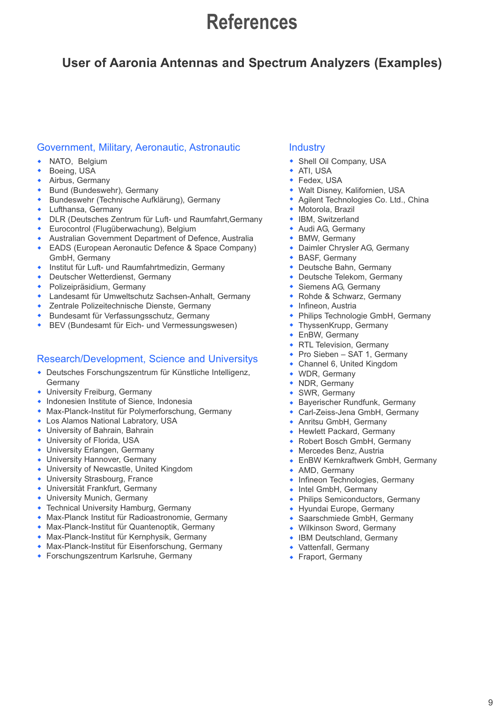# **References**

## **User of Aaronia Antennas and Spectrum Analyzers (Examples)**

#### Government, Military, Aeronautic, Astronautic

- NATO, Belgium w
- Boeing, USA w
- Airbus, Germany w
- Bund (Bundeswehr), Germany w
- Bundeswehr (Technische Aufklärung), Germany w
- Lufthansa, Germany w
- DLR (Deutsches Zentrum für Luft- und Raumfahrt,Germany w
- Eurocontrol (Flugüberwachung), Belgium w
- Australian Government Department of Defence, Australia w
- EADS (European Aeronautic Defence & Space Company) GmbH, Germany  $\bullet$
- Institut für Luft- und Raumfahrtmedizin, Germany w
- Deutscher Wetterdienst, Germany w
- Polizeipräsidium, Germany w
- Landesamt für Umweltschutz Sachsen-Anhalt, Germany w
- Zentrale Polizeitechnische Dienste, Germany w
- Bundesamt für Verfassungsschutz, Germany w
- BEV (Bundesamt für Eich- und Vermessungswesen) w

### Research/Development, Science and Universitys

- Deutsches Forschungszentrum für Künstliche Intelligenz, w **Germany**
- University Freiburg, Germany
- Indonesien Institute of Sience, Indonesia
- Max-Planck-Institut für Polymerforschung, Germany
- **Los Alamos National Labratory, USA**
- University of Bahrain, Bahrain
- University of Florida, USA
- University Erlangen, Germany
- University Hannover, Germany
- University of Newcastle, United Kingdom
- University Strasbourg, France
- Universität Frankfurt, Germany
- University Munich, Germany
- **Technical University Hamburg, Germany**
- **Max-Planck Institut für Radioastronomie, Germany**
- Max-Planck-Institut für Quantenoptik, Germany w
- Max-Planck-Institut für Kernphysik, Germany w
- Max-Planck-Institut für Eisenforschung, Germany w
- **Forschungszentrum Karlsruhe, Germany**

#### **Industry**

- Shell Oil Company, USA
- ATI, USA
- Fedex, USA
- Walt Disney, Kalifornien, USA
- **Agilent Technologies Co. Ltd., China**
- Motorola, Brazil
- IBM, Switzerland
- Audi AG, Germany
- BMW, Germany
- Daimler Chrysler AG, Germany
- BASF, Germany
- Deutsche Bahn, Germany
- Deutsche Telekom, Germany
- Siemens AG, Germany
- Rohde & Schwarz, Germany
- Infineon, Austria
- Philips Technologie GmbH, Germany
- ThyssenKrupp, Germany
- $\bullet$  EnBW, Germany
- RTL Television, Germany
- Pro Sieben SAT 1, Germany
- Channel 6, United Kingdom
- WDR, Germany
- $\bullet$  NDR, Germany
- SWR, Germany
- Bayerischer Rundfunk, Germany
- Carl-Zeiss-Jena GmbH, Germany
- **Anritsu GmbH, Germany**
- Hewlett Packard, Germany
- Robert Bosch GmbH, Germany
- Mercedes Benz, Austria
- EnBW Kernkraftwerk GmbH, Germany
- AMD, Germany
- Infineon Technologies, Germany
- Intel GmbH, Germany
- Philips Semiconductors, Germany
- Hyundai Europe, Germany
- Saarschmiede GmbH, Germany
- Wilkinson Sword, Germany
- IBM Deutschland, Germany
- Vattenfall, Germany
- Fraport, Germany